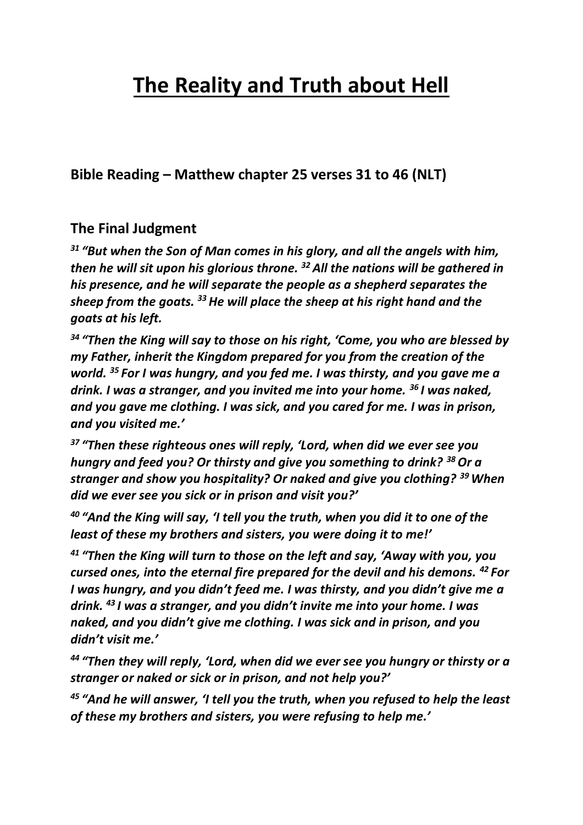# **The Reality and Truth about Hell**

**Bible Reading – Matthew chapter 25 verses 31 to 46 (NLT)**

## **The Final Judgment**

*<sup>31</sup> "But when the Son of Man comes in his glory, and all the angels with him, then he will sit upon his glorious throne. <sup>32</sup> All the nations will be gathered in his presence, and he will separate the people as a shepherd separates the sheep from the goats. <sup>33</sup>He will place the sheep at his right hand and the goats at his left.*

*<sup>34</sup> "Then the King will say to those on his right, 'Come, you who are blessed by my Father, inherit the Kingdom prepared for you from the creation of the world. <sup>35</sup> For I was hungry, and you fed me. I was thirsty, and you gave me a drink. I was a stranger, and you invited me into your home. <sup>36</sup> I was naked, and you gave me clothing. I was sick, and you cared for me. I was in prison, and you visited me.'*

*<sup>37</sup> "Then these righteous ones will reply, 'Lord, when did we ever see you hungry and feed you? Or thirsty and give you something to drink? <sup>38</sup>Or a stranger and show you hospitality? Or naked and give you clothing? <sup>39</sup>When did we ever see you sick or in prison and visit you?'*

*<sup>40</sup> "And the King will say, 'I tell you the truth, when you did it to one of the least of these my brothers and sisters, you were doing it to me!'*

*<sup>41</sup> "Then the King will turn to those on the left and say, 'Away with you, you cursed ones, into the eternal fire prepared for the devil and his demons. <sup>42</sup> For I was hungry, and you didn't feed me. I was thirsty, and you didn't give me a drink. <sup>43</sup> I was a stranger, and you didn't invite me into your home. I was naked, and you didn't give me clothing. I was sick and in prison, and you didn't visit me.'*

*<sup>44</sup> "Then they will reply, 'Lord, when did we ever see you hungry or thirsty or a stranger or naked or sick or in prison, and not help you?'*

*<sup>45</sup> "And he will answer, 'I tell you the truth, when you refused to help the least of these my brothers and sisters, you were refusing to help me.'*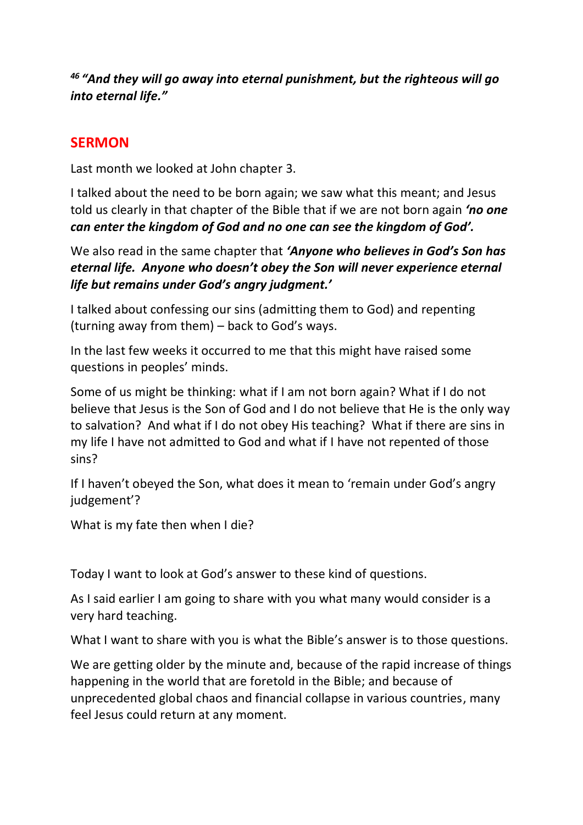## *<sup>46</sup> "And they will go away into eternal punishment, but the righteous will go into eternal life."*

## **SERMON**

Last month we looked at John chapter 3.

I talked about the need to be born again; we saw what this meant; and Jesus told us clearly in that chapter of the Bible that if we are not born again *'no one can enter the kingdom of God and no one can see the kingdom of God'.*

We also read in the same chapter that *'Anyone who believes in God's Son has eternal life. Anyone who doesn't obey the Son will never experience eternal life but remains under God's angry judgment.'*

I talked about confessing our sins (admitting them to God) and repenting (turning away from them) – back to God's ways.

In the last few weeks it occurred to me that this might have raised some questions in peoples' minds.

Some of us might be thinking: what if I am not born again? What if I do not believe that Jesus is the Son of God and I do not believe that He is the only way to salvation? And what if I do not obey His teaching? What if there are sins in my life I have not admitted to God and what if I have not repented of those sins?

If I haven't obeyed the Son, what does it mean to 'remain under God's angry judgement'?

What is my fate then when I die?

Today I want to look at God's answer to these kind of questions.

As I said earlier I am going to share with you what many would consider is a very hard teaching.

What I want to share with you is what the Bible's answer is to those questions.

We are getting older by the minute and, because of the rapid increase of things happening in the world that are foretold in the Bible; and because of unprecedented global chaos and financial collapse in various countries, many feel Jesus could return at any moment.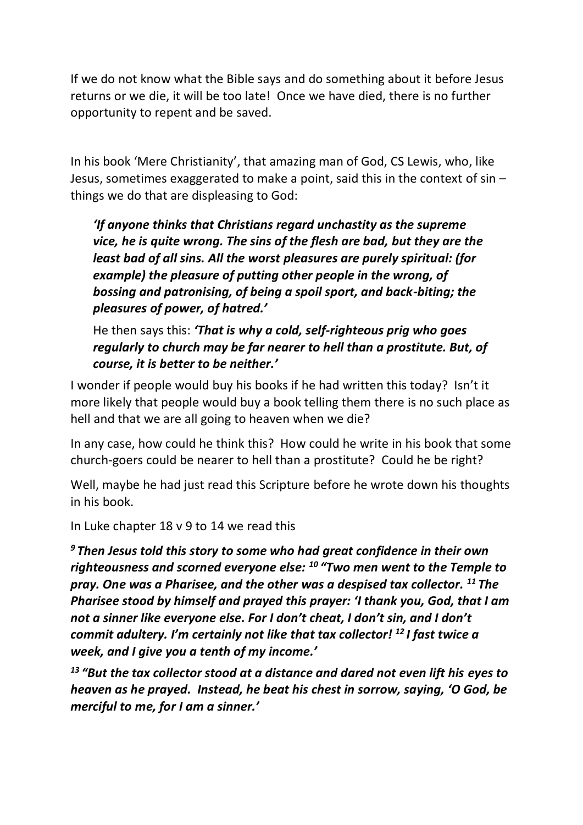If we do not know what the Bible says and do something about it before Jesus returns or we die, it will be too late! Once we have died, there is no further opportunity to repent and be saved.

In his book 'Mere Christianity', that amazing man of God, CS Lewis, who, like Jesus, sometimes exaggerated to make a point, said this in the context of sin – things we do that are displeasing to God:

*'If anyone thinks that Christians regard unchastity as the supreme vice, he is quite wrong. The sins of the flesh are bad, but they are the least bad of all sins. All the worst pleasures are purely spiritual: (for example) the pleasure of putting other people in the wrong, of bossing and patronising, of being a spoil sport, and back-biting; the pleasures of power, of hatred.'*

He then says this: *'That is why a cold, self-righteous prig who goes regularly to church may be far nearer to hell than a prostitute. But, of course, it is better to be neither.'*

I wonder if people would buy his books if he had written this today? Isn't it more likely that people would buy a book telling them there is no such place as hell and that we are all going to heaven when we die?

In any case, how could he think this? How could he write in his book that some church-goers could be nearer to hell than a prostitute? Could he be right?

Well, maybe he had just read this Scripture before he wrote down his thoughts in his book.

In Luke chapter 18 v 9 to 14 we read this

*<sup>9</sup> Then Jesus told this story to some who had great confidence in their own righteousness and scorned everyone else: <sup>10</sup> "Two men went to the Temple to pray. One was a Pharisee, and the other was a despised tax collector. <sup>11</sup> The Pharisee stood by himself and prayed this prayer: 'I thank you, God, that I am not a sinner like everyone else. For I don't cheat, I don't sin, and I don't commit adultery. I'm certainly not like that tax collector! <sup>12</sup> I fast twice a week, and I give you a tenth of my income.'*

<sup>13</sup> "But the tax collector stood at a distance and dared not even lift his eyes to *heaven as he prayed. Instead, he beat his chest in sorrow, saying, 'O God, be merciful to me, for I am a sinner.'*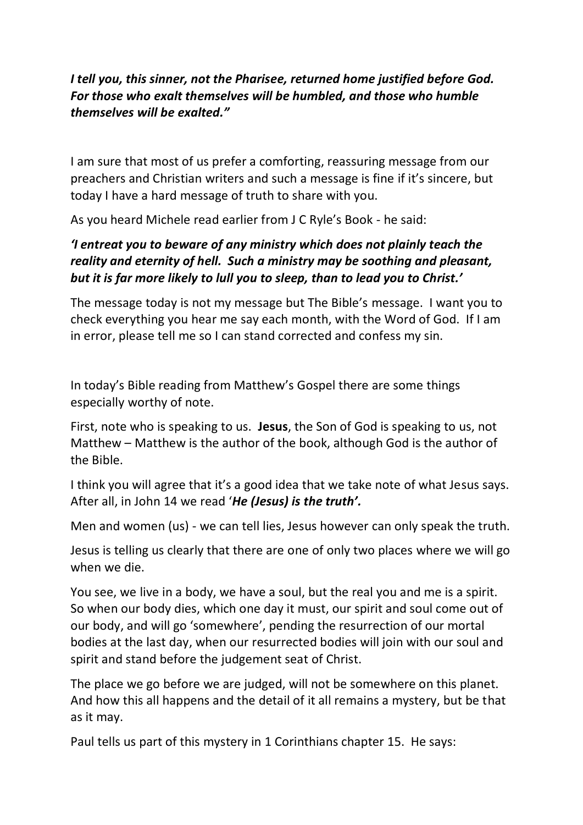#### *I tell you, this sinner, not the Pharisee, returned home justified before God. For those who exalt themselves will be humbled, and those who humble themselves will be exalted."*

I am sure that most of us prefer a comforting, reassuring message from our preachers and Christian writers and such a message is fine if it's sincere, but today I have a hard message of truth to share with you.

As you heard Michele read earlier from J C Ryle's Book - he said:

## *'I entreat you to beware of any ministry which does not plainly teach the reality and eternity of hell. Such a ministry may be soothing and pleasant, but it is far more likely to lull you to sleep, than to lead you to Christ.'*

The message today is not my message but The Bible's message. I want you to check everything you hear me say each month, with the Word of God. If I am in error, please tell me so I can stand corrected and confess my sin.

In today's Bible reading from Matthew's Gospel there are some things especially worthy of note.

First, note who is speaking to us. **Jesus**, the Son of God is speaking to us, not Matthew – Matthew is the author of the book, although God is the author of the Bible.

I think you will agree that it's a good idea that we take note of what Jesus says. After all, in John 14 we read '*He (Jesus) is the truth'.*

Men and women (us) - we can tell lies, Jesus however can only speak the truth.

Jesus is telling us clearly that there are one of only two places where we will go when we die.

You see, we live in a body, we have a soul, but the real you and me is a spirit. So when our body dies, which one day it must, our spirit and soul come out of our body, and will go 'somewhere', pending the resurrection of our mortal bodies at the last day, when our resurrected bodies will join with our soul and spirit and stand before the judgement seat of Christ.

The place we go before we are judged, will not be somewhere on this planet. And how this all happens and the detail of it all remains a mystery, but be that as it may.

Paul tells us part of this mystery in 1 Corinthians chapter 15. He says: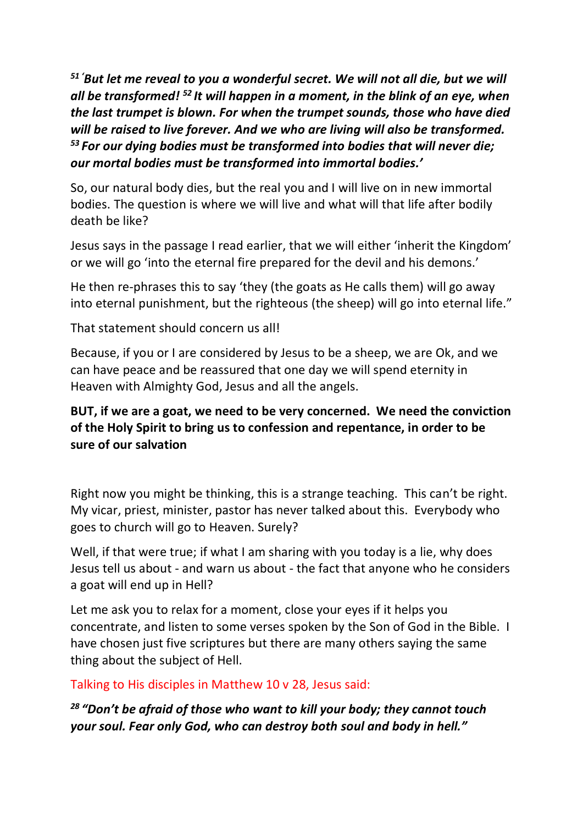*<sup>51</sup> 'But let me reveal to you a wonderful secret. We will not all die, but we will all be transformed! <sup>52</sup> It will happen in a moment, in the blink of an eye, when the last trumpet is blown. For when the trumpet sounds, those who have died will be raised to live forever. And we who are living will also be transformed. <sup>53</sup> For our dying bodies must be transformed into bodies that will never die; our mortal bodies must be transformed into immortal bodies.'*

So, our natural body dies, but the real you and I will live on in new immortal bodies. The question is where we will live and what will that life after bodily death be like?

Jesus says in the passage I read earlier, that we will either 'inherit the Kingdom' or we will go 'into the eternal fire prepared for the devil and his demons.'

He then re-phrases this to say 'they (the goats as He calls them) will go away into eternal punishment, but the righteous (the sheep) will go into eternal life."

That statement should concern us all!

Because, if you or I are considered by Jesus to be a sheep, we are Ok, and we can have peace and be reassured that one day we will spend eternity in Heaven with Almighty God, Jesus and all the angels.

## **BUT, if we are a goat, we need to be very concerned. We need the conviction of the Holy Spirit to bring us to confession and repentance, in order to be sure of our salvation**

Right now you might be thinking, this is a strange teaching. This can't be right. My vicar, priest, minister, pastor has never talked about this. Everybody who goes to church will go to Heaven. Surely?

Well, if that were true; if what I am sharing with you today is a lie, why does Jesus tell us about - and warn us about - the fact that anyone who he considers a goat will end up in Hell?

Let me ask you to relax for a moment, close your eyes if it helps you concentrate, and listen to some verses spoken by the Son of God in the Bible. I have chosen just five scriptures but there are many others saying the same thing about the subject of Hell.

Talking to His disciples in Matthew 10 v 28, Jesus said:

*<sup>28</sup> "Don't be afraid of those who want to kill your body; they cannot touch your soul. Fear only God, who can destroy both soul and body in hell."*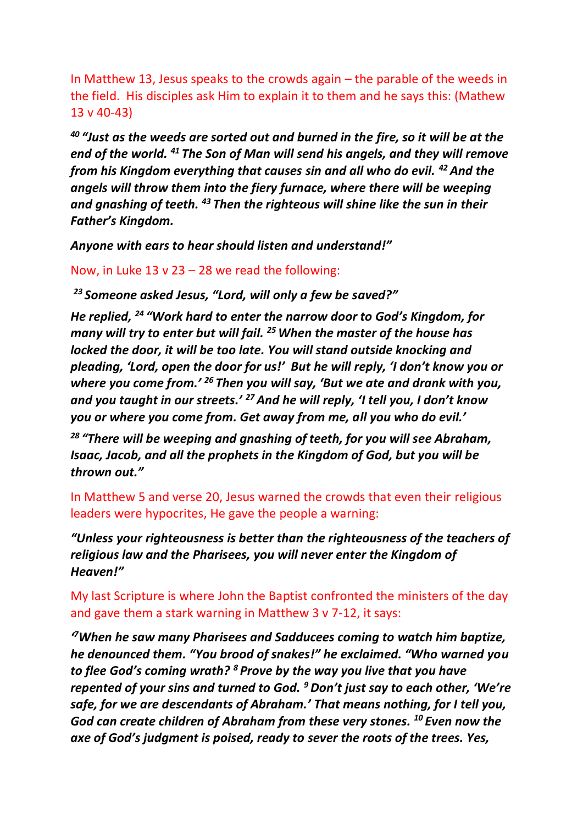In Matthew 13, Jesus speaks to the crowds again – the parable of the weeds in the field. His disciples ask Him to explain it to them and he says this: (Mathew 13 v 40-43)

*<sup>40</sup> "Just as the weeds are sorted out and burned in the fire, so it will be at the end of the world. <sup>41</sup> The Son of Man will send his angels, and they will remove from his Kingdom everything that causes sin and all who do evil. <sup>42</sup> And the angels will throw them into the fiery furnace, where there will be weeping and gnashing of teeth. <sup>43</sup> Then the righteous will shine like the sun in their Father's Kingdom.* 

*Anyone with ears to hear should listen and understand!"*

Now, in Luke 13 v  $23 - 28$  we read the following:

*<sup>23</sup> Someone asked Jesus, "Lord, will only a few be saved?"*

*He replied, <sup>24</sup> "Work hard to enter the narrow door to God's Kingdom, for many will try to enter but will fail. <sup>25</sup>When the master of the house has locked the door, it will be too late. You will stand outside knocking and pleading, 'Lord, open the door for us!' But he will reply, 'I don't know you or where you come from.' <sup>26</sup> Then you will say, 'But we ate and drank with you, and you taught in our streets.' <sup>27</sup>And he will reply, 'I tell you, I don't know you or where you come from. Get away from me, all you who do evil.'*

*<sup>28</sup> "There will be weeping and gnashing of teeth, for you will see Abraham, Isaac, Jacob, and all the prophets in the Kingdom of God, but you will be thrown out."*

In Matthew 5 and verse 20, Jesus warned the crowds that even their religious leaders were hypocrites, He gave the people a warning:

*"Unless your righteousness is better than the righteousness of the teachers of religious law and the Pharisees, you will never enter the Kingdom of Heaven!"*

My last Scripture is where John the Baptist confronted the ministers of the day and gave them a stark warning in Matthew 3 v 7-12, it says:

*' <sup>7</sup>When he saw many Pharisees and Sadducees coming to watch him baptize, he denounced them. "You brood of snakes!" he exclaimed. "Who warned you to flee God's coming wrath? <sup>8</sup> Prove by the way you live that you have repented of your sins and turned to God. <sup>9</sup>Don't just say to each other, 'We're safe, for we are descendants of Abraham.' That means nothing, for I tell you, God can create children of Abraham from these very stones. <sup>10</sup> Even now the axe of God's judgment is poised, ready to sever the roots of the trees. Yes,*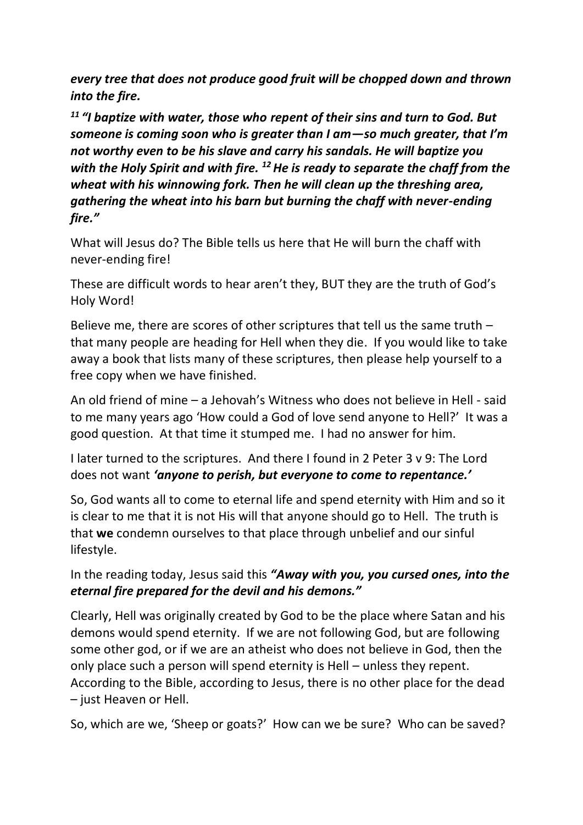*every tree that does not produce good fruit will be chopped down and thrown into the fire.*

*<sup>11</sup> "I baptize with water, those who repent of their sins and turn to God. But someone is coming soon who is greater than I am—so much greater, that I'm not worthy even to be his slave and carry his sandals. He will baptize you with the Holy Spirit and with fire. <sup>12</sup>He is ready to separate the chaff from the wheat with his winnowing fork. Then he will clean up the threshing area, gathering the wheat into his barn but burning the chaff with never-ending fire."*

What will Jesus do? The Bible tells us here that He will burn the chaff with never-ending fire!

These are difficult words to hear aren't they, BUT they are the truth of God's Holy Word!

Believe me, there are scores of other scriptures that tell us the same truth – that many people are heading for Hell when they die. If you would like to take away a book that lists many of these scriptures, then please help yourself to a free copy when we have finished.

An old friend of mine – a Jehovah's Witness who does not believe in Hell - said to me many years ago 'How could a God of love send anyone to Hell?' It was a good question. At that time it stumped me. I had no answer for him.

I later turned to the scriptures. And there I found in 2 Peter 3 v 9: The Lord does not want *'anyone to perish, but everyone to come to repentance.'*

So, God wants all to come to eternal life and spend eternity with Him and so it is clear to me that it is not His will that anyone should go to Hell. The truth is that **we** condemn ourselves to that place through unbelief and our sinful lifestyle.

In the reading today, Jesus said this *"Away with you, you cursed ones, into the eternal fire prepared for the devil and his demons."* 

Clearly, Hell was originally created by God to be the place where Satan and his demons would spend eternity. If we are not following God, but are following some other god, or if we are an atheist who does not believe in God, then the only place such a person will spend eternity is Hell – unless they repent. According to the Bible, according to Jesus, there is no other place for the dead – just Heaven or Hell.

So, which are we, 'Sheep or goats?' How can we be sure? Who can be saved?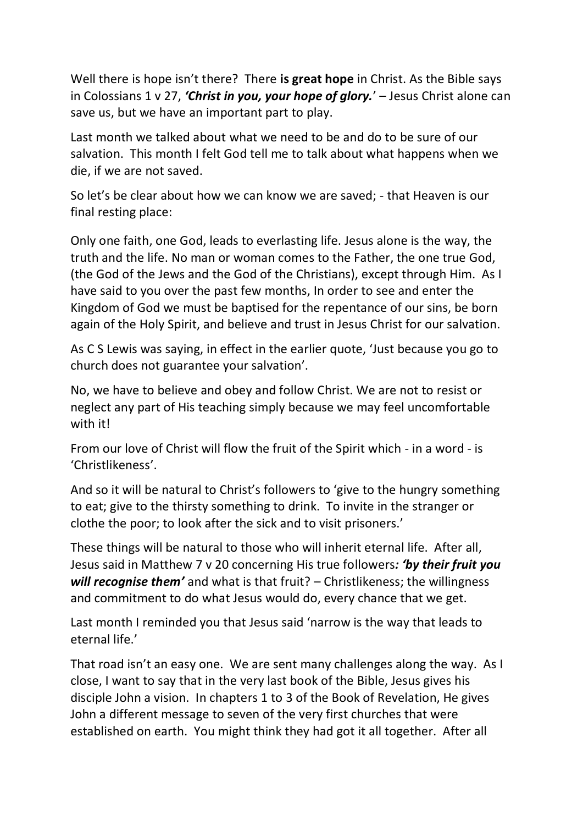Well there is hope isn't there? There **is great hope** in Christ. As the Bible says in Colossians 1 v 27, *'Christ in you, your hope of glory.*' – Jesus Christ alone can save us, but we have an important part to play.

Last month we talked about what we need to be and do to be sure of our salvation. This month I felt God tell me to talk about what happens when we die, if we are not saved.

So let's be clear about how we can know we are saved; - that Heaven is our final resting place:

Only one faith, one God, leads to everlasting life. Jesus alone is the way, the truth and the life. No man or woman comes to the Father, the one true God, (the God of the Jews and the God of the Christians), except through Him. As I have said to you over the past few months, In order to see and enter the Kingdom of God we must be baptised for the repentance of our sins, be born again of the Holy Spirit, and believe and trust in Jesus Christ for our salvation.

As C S Lewis was saying, in effect in the earlier quote, 'Just because you go to church does not guarantee your salvation'.

No, we have to believe and obey and follow Christ. We are not to resist or neglect any part of His teaching simply because we may feel uncomfortable with it!

From our love of Christ will flow the fruit of the Spirit which - in a word - is 'Christlikeness'.

And so it will be natural to Christ's followers to 'give to the hungry something to eat; give to the thirsty something to drink. To invite in the stranger or clothe the poor; to look after the sick and to visit prisoners.'

These things will be natural to those who will inherit eternal life. After all, Jesus said in Matthew 7 v 20 concerning His true followers*: 'by their fruit you will recognise them'* and what is that fruit? – Christlikeness; the willingness and commitment to do what Jesus would do, every chance that we get.

Last month I reminded you that Jesus said 'narrow is the way that leads to eternal life.'

That road isn't an easy one. We are sent many challenges along the way. As I close, I want to say that in the very last book of the Bible, Jesus gives his disciple John a vision. In chapters 1 to 3 of the Book of Revelation, He gives John a different message to seven of the very first churches that were established on earth. You might think they had got it all together. After all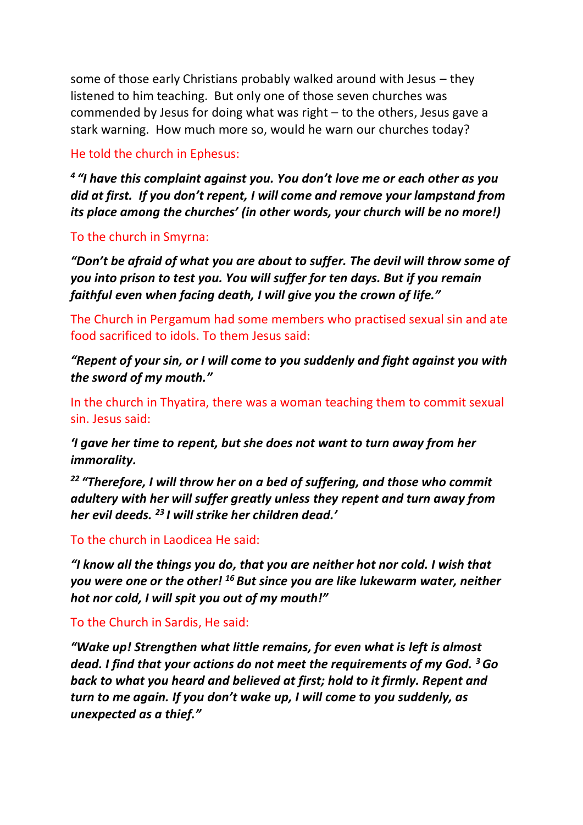some of those early Christians probably walked around with Jesus – they listened to him teaching. But only one of those seven churches was commended by Jesus for doing what was right – to the others, Jesus gave a stark warning. How much more so, would he warn our churches today?

#### He told the church in Ephesus:

*4 "I have this complaint against you. You don't love me or each other as you did at first. If you don't repent, I will come and remove your lampstand from its place among the churches' (in other words, your church will be no more!)*

#### To the church in Smyrna:

*"Don't be afraid of what you are about to suffer. The devil will throw some of you into prison to test you. You will suffer for ten days. But if you remain faithful even when facing death, I will give you the crown of life."*

The Church in Pergamum had some members who practised sexual sin and ate food sacrificed to idols. To them Jesus said:

*"Repent of your sin, or I will come to you suddenly and fight against you with the sword of my mouth."*

In the church in Thyatira, there was a woman teaching them to commit sexual sin. Jesus said:

*'I gave her time to repent, but she does not want to turn away from her immorality.*

*<sup>22</sup> "Therefore, I will throw her on a bed of suffering, and those who commit adultery with her will suffer greatly unless they repent and turn away from her evil deeds. <sup>23</sup> I will strike her children dead.'*

#### To the church in Laodicea He said:

*"I know all the things you do, that you are neither hot nor cold. I wish that you were one or the other! <sup>16</sup> But since you are like lukewarm water, neither hot nor cold, I will spit you out of my mouth!"*

#### To the Church in Sardis, He said:

*"Wake up! Strengthen what little remains, for even what is left is almost dead. I find that your actions do not meet the requirements of my God. <sup>3</sup>Go back to what you heard and believed at first; hold to it firmly. Repent and turn to me again. If you don't wake up, I will come to you suddenly, as unexpected as a thief."*